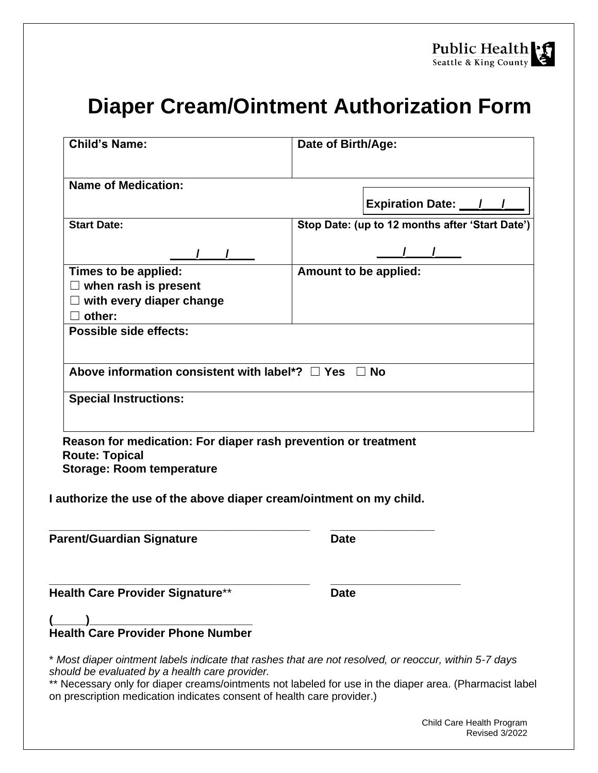## **Diaper Cream/Ointment Authorization Form**

| <b>Child's Name:</b>                                                                                                                                    | Date of Birth/Age:                              |  |  |  |  |  |
|---------------------------------------------------------------------------------------------------------------------------------------------------------|-------------------------------------------------|--|--|--|--|--|
| <b>Name of Medication:</b>                                                                                                                              |                                                 |  |  |  |  |  |
|                                                                                                                                                         | Expiration Date: 1 /                            |  |  |  |  |  |
| <b>Start Date:</b>                                                                                                                                      | Stop Date: (up to 12 months after 'Start Date') |  |  |  |  |  |
|                                                                                                                                                         |                                                 |  |  |  |  |  |
| Times to be applied:                                                                                                                                    | Amount to be applied:                           |  |  |  |  |  |
| $\Box$ when rash is present                                                                                                                             |                                                 |  |  |  |  |  |
| $\Box$ with every diaper change                                                                                                                         |                                                 |  |  |  |  |  |
| other:                                                                                                                                                  |                                                 |  |  |  |  |  |
| Possible side effects:                                                                                                                                  |                                                 |  |  |  |  |  |
| Above information consistent with label*? $\Box$ Yes $\Box$ No<br><b>Special Instructions:</b>                                                          |                                                 |  |  |  |  |  |
| Reason for medication: For diaper rash prevention or treatment<br><b>Route: Topical</b><br><b>Storage: Room temperature</b>                             |                                                 |  |  |  |  |  |
| I authorize the use of the above diaper cream/ointment on my child.                                                                                     |                                                 |  |  |  |  |  |
| <b>Parent/Guardian Signature</b>                                                                                                                        | <b>Date</b>                                     |  |  |  |  |  |
| Health Care Provider Signature**                                                                                                                        | <b>Date</b>                                     |  |  |  |  |  |
|                                                                                                                                                         |                                                 |  |  |  |  |  |
| * Most diaper ointment labels indicate that rashes that are not resolved, or reoccur, within 5-7 days<br>should be evaluated by a health care provider. |                                                 |  |  |  |  |  |

Necessary only for diaper creams/ointments not labeled for use in the diaper area. (Pharmacist label on prescription medication indicates consent of health care provider.)